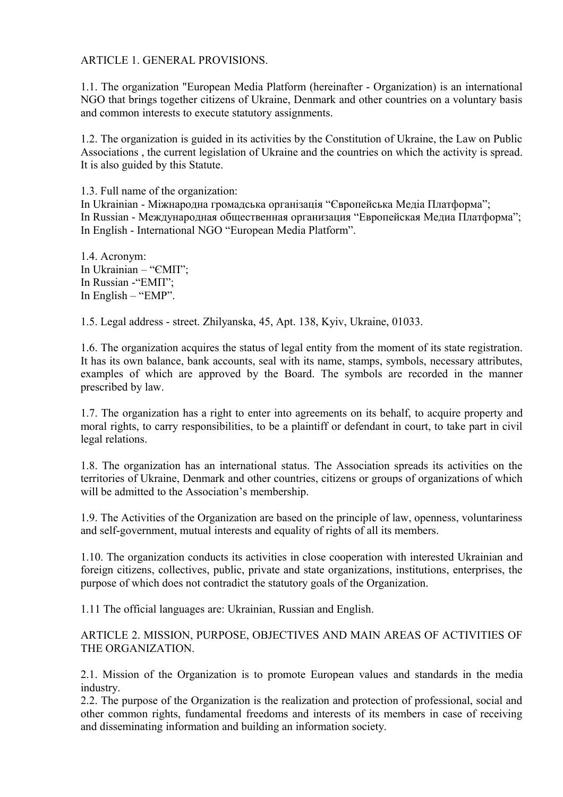## ARTICLE 1. GENERAL PROVISIONS.

1.1. The organization "European Media Platform (hereinafter - Organization) is an international NGO that brings together citizens of Ukraine, Denmark and other countries on a voluntary basis and common interests to execute statutory assignments.

1.2. The organization is guided in its activities by the Constitution of Ukraine, the Law on Public Associations , the current legislation of Ukraine and the countries on which the activity is spread. It is also guided by this Statute.

1.3. Full name of the organization: In Ukrainian - Міжнародна громадська організація "Європейська Медіа Платформа"; In Russian - Международная общественная организация "Европейская Медиа Платформа"; In English - International NGO "European Media Platform".

1.4. Acronym: In Ukrainian – "ЄМП"; In Russian -"EМП"; In English – "EMP".

1.5. Legal address - street. Zhilyanska, 45, Apt. 138, Kyiv, Ukraine, 01033.

1.6. The organization acquires the status of legal entity from the moment of its state registration. It has its own balance, bank accounts, seal with its name, stamps, symbols, necessary attributes, examples of which are approved by the Board. The symbols are recorded in the manner prescribed by law.

1.7. The organization has a right to enter into agreements on its behalf, to acquire property and moral rights, to carry responsibilities, to be a plaintiff or defendant in court, to take part in civil legal relations.

1.8. The organization has an international status. The Association spreads its activities on the territories of Ukraine, Denmark and other countries, citizens or groups of organizations of which will be admitted to the Association's membership.

1.9. The Activities of the Organization are based on the principle of law, openness, voluntariness and self-government, mutual interests and equality of rights of all its members.

1.10. The organization conducts its activities in close cooperation with interested Ukrainian and foreign citizens, collectives, public, private and state organizations, institutions, enterprises, the purpose of which does not contradict the statutory goals of the Organization.

1.11 The official languages are: Ukrainian, Russian and English.

ARTICLE 2. MISSION, PURPOSE, OBJECTIVES AND MAIN AREAS OF ACTIVITIES OF THE ORGANIZATION.

2.1. Mission of the Organization is to promote European values and standards in the media industry.

2.2. The purpose of the Organization is the realization and protection of professional, social and other common rights, fundamental freedoms and interests of its members in case of receiving and disseminating information and building an information society.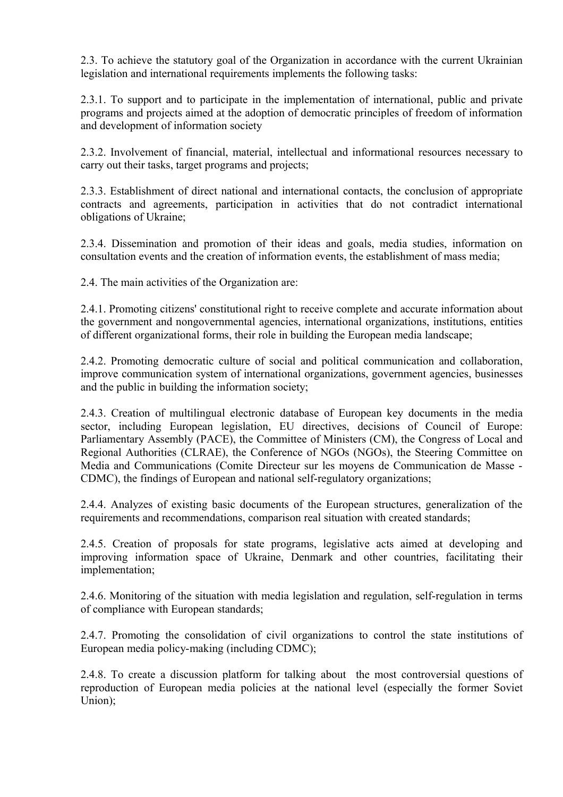2.3. To achieve the statutory goal of the Organization in accordance with the current Ukrainian legislation and international requirements implements the following tasks:

2.3.1. To support and to participate in the implementation of international, public and private programs and projects aimed at the adoption of democratic principles of freedom of information and development of information society

2.3.2. Involvement of financial, material, intellectual and informational resources necessary to carry out their tasks, target programs and projects;

2.3.3. Establishment of direct national and international contacts, the conclusion of appropriate contracts and agreements, participation in activities that do not contradict international obligations of Ukraine;

2.3.4. Dissemination and promotion of their ideas and goals, media studies, information on consultation events and the creation of information events, the establishment of mass media;

2.4. The main activities of the Organization are:

2.4.1. Promoting citizens' constitutional right to receive complete and accurate information about the government and nongovernmental agencies, international organizations, institutions, entities of different organizational forms, their role in building the European media landscape;

2.4.2. Promoting democratic culture of social and political communication and collaboration, improve communication system of international organizations, government agencies, businesses and the public in building the information society;

2.4.3. Creation of multilingual electronic database of European key documents in the media sector, including European legislation, EU directives, decisions of Council of Europe: Parliamentary Assembly (PACE), the Committee of Ministers (CM), the Congress of Local and Regional Authorities (CLRAE), the Conference of NGOs (NGOs), the Steering Committee on Media and Communications (Comite Directeur sur les moyens de Communication de Masse - CDMC), the findings of European and national self-regulatory organizations;

2.4.4. Analyzes of existing basic documents of the European structures, generalization of the requirements and recommendations, comparison real situation with created standards;

2.4.5. Creation of proposals for state programs, legislative acts aimed at developing and improving information space of Ukraine, Denmark and other countries, facilitating their implementation;

2.4.6. Monitoring of the situation with media legislation and regulation, self-regulation in terms of compliance with European standards;

2.4.7. Promoting the consolidation of civil organizations to control the state institutions of European media policy-making (including CDMC);

2.4.8. To create a discussion platform for talking about the most controversial questions of reproduction of European media policies at the national level (especially the former Soviet Union);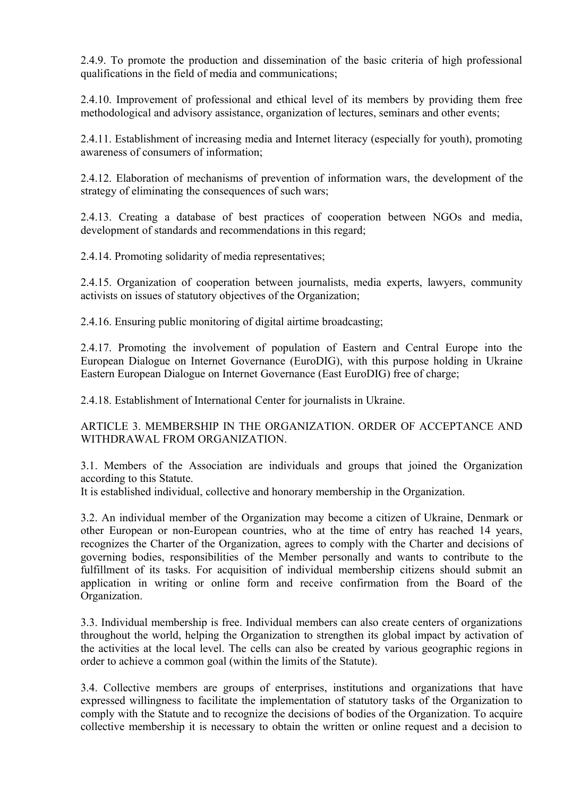2.4.9. To promote the production and dissemination of the basic criteria of high professional qualifications in the field of media and communications;

2.4.10. Improvement of professional and ethical level of its members by providing them free methodological and advisory assistance, organization of lectures, seminars and other events;

2.4.11. Establishment of increasing media and Internet literacy (especially for youth), promoting awareness of consumers of information;

2.4.12. Elaboration of mechanisms of prevention of information wars, the development of the strategy of eliminating the consequences of such wars;

2.4.13. Creating a database of best practices of cooperation between NGOs and media, development of standards and recommendations in this regard;

2.4.14. Promoting solidarity of media representatives;

2.4.15. Organization of cooperation between journalists, media experts, lawyers, community activists on issues of statutory objectives of the Organization;

2.4.16. Ensuring public monitoring of digital airtime broadcasting;

2.4.17. Promoting the involvement of population of Eastern and Central Europe into the European Dialogue on Internet Governance (EuroDIG), with this purpose holding in Ukraine Eastern European Dialogue on Internet Governance (East EuroDIG) free of charge;

2.4.18. Establishment of International Center for journalists in Ukraine.

ARTICLE 3. MEMBERSHIP IN THE ORGANIZATION. ORDER OF ACCEPTANCE AND WITHDRAWAL FROM ORGANIZATION.

3.1. Members of the Association are individuals and groups that joined the Organization according to this Statute.

It is established individual, collective and honorary membership in the Organization.

3.2. An individual member of the Organization may become a citizen of Ukraine, Denmark or other European or non-European countries, who at the time of entry has reached 14 years, recognizes the Charter of the Organization, agrees to comply with the Charter and decisions of governing bodies, responsibilities of the Member personally and wants to contribute to the fulfillment of its tasks. For acquisition of individual membership citizens should submit an application in writing or online form and receive confirmation from the Board of the Organization.

3.3. Individual membership is free. Individual members can also create centers of organizations throughout the world, helping the Organization to strengthen its global impact by activation of the activities at the local level. The cells can also be created by various geographic regions in order to achieve a common goal (within the limits of the Statute).

3.4. Collective members are groups of enterprises, institutions and organizations that have expressed willingness to facilitate the implementation of statutory tasks of the Organization to comply with the Statute and to recognize the decisions of bodies of the Organization. To acquire collective membership it is necessary to obtain the written or online request and a decision to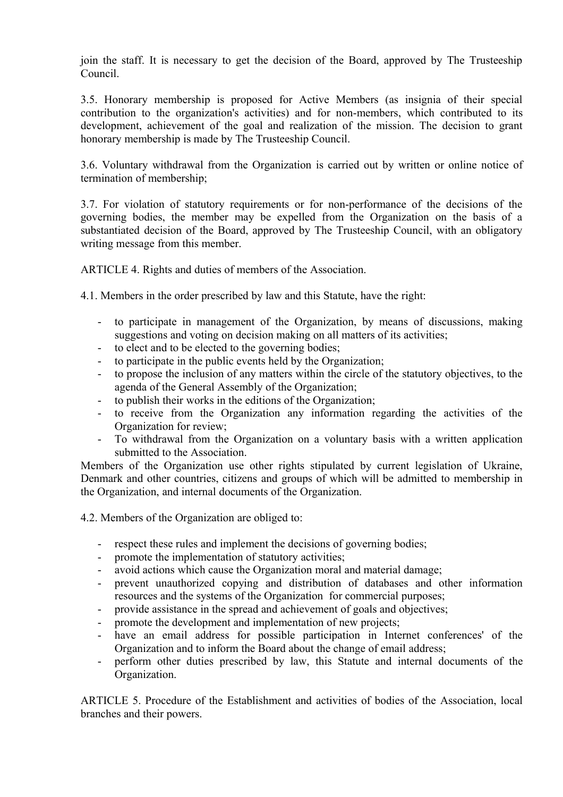join the staff. It is necessary to get the decision of the Board, approved by The Trusteeship Council.

3.5. Honorary membership is proposed for Active Members (as insignia of their special contribution to the organization's activities) and for non-members, which contributed to its development, achievement of the goal and realization of the mission. The decision to grant honorary membership is made by The Trusteeship Council.

3.6. Voluntary withdrawal from the Organization is carried out by written or online notice of termination of membership;

3.7. For violation of statutory requirements or for non-performance of the decisions of the governing bodies, the member may be expelled from the Organization on the basis of a substantiated decision of the Board, approved by The Trusteeship Council, with an obligatory writing message from this member.

ARTICLE 4. Rights and duties of members of the Association.

4.1. Members in the order prescribed by law and this Statute, have the right:

- to participate in management of the Organization, by means of discussions, making suggestions and voting on decision making on all matters of its activities;
- to elect and to be elected to the governing bodies;
- to participate in the public events held by the Organization;
- to propose the inclusion of any matters within the circle of the statutory objectives, to the agenda of the General Assembly of the Organization;
- to publish their works in the editions of the Organization;
- to receive from the Organization any information regarding the activities of the Organization for review;
- To withdrawal from the Organization on a voluntary basis with a written application submitted to the Association.

Members of the Organization use other rights stipulated by current legislation of Ukraine, Denmark and other countries, citizens and groups of which will be admitted to membership in the Organization, and internal documents of the Organization.

4.2. Members of the Organization are obliged to:

- respect these rules and implement the decisions of governing bodies;
- promote the implementation of statutory activities;
- avoid actions which cause the Organization moral and material damage;
- prevent unauthorized copying and distribution of databases and other information resources and the systems of the Organization for commercial purposes;
- provide assistance in the spread and achievement of goals and objectives;
- promote the development and implementation of new projects;
- have an email address for possible participation in Internet conferences' of the Organization and to inform the Board about the change of email address;
- perform other duties prescribed by law, this Statute and internal documents of the Organization.

ARTICLE 5. Procedure of the Establishment and activities of bodies of the Association, local branches and their powers.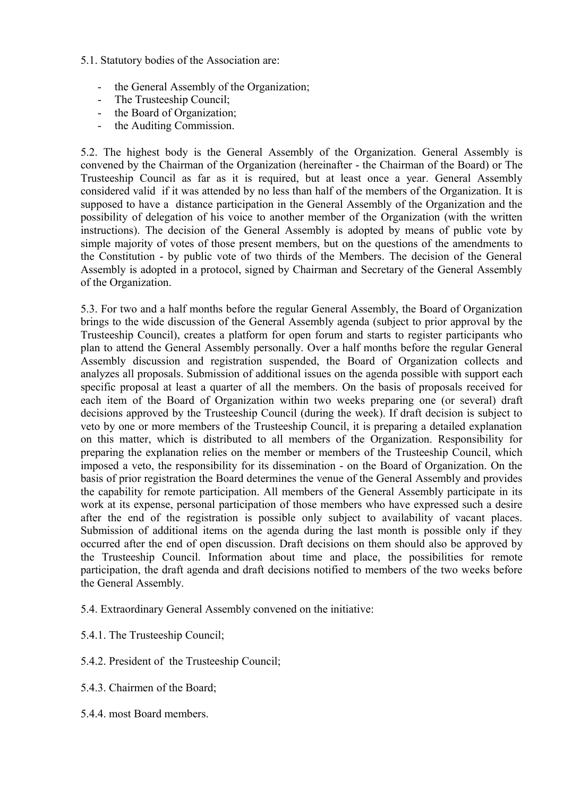- 5.1. Statutory bodies of the Association are:
	- the General Assembly of the Organization;
	- The Trusteeship Council;
	- the Board of Organization;
	- the Auditing Commission.

5.2. The highest body is the General Assembly of the Organization. General Assembly is convened by the Chairman of the Organization (hereinafter - the Chairman of the Board) or The Trusteeship Council as far as it is required, but at least once a year. General Assembly considered valid if it was attended by no less than half of the members of the Organization. It is supposed to have a distance participation in the General Assembly of the Organization and the possibility of delegation of his voice to another member of the Organization (with the written instructions). The decision of the General Assembly is adopted by means of public vote by simple majority of votes of those present members, but on the questions of the amendments to the Constitution - by public vote of two thirds of the Members. The decision of the General Assembly is adopted in a protocol, signed by Chairman and Secretary of the General Assembly of the Organization.

5.3. For two and a half months before the regular General Assembly, the Board of Organization brings to the wide discussion of the General Assembly agenda (subject to prior approval by the Trusteeship Council), creates a platform for open forum and starts to register participants who plan to attend the General Assembly personally. Over a half months before the regular General Assembly discussion and registration suspended, the Board of Organization collects and analyzes all proposals. Submission of additional issues on the agenda possible with support each specific proposal at least a quarter of all the members. On the basis of proposals received for each item of the Board of Organization within two weeks preparing one (or several) draft decisions approved by the Trusteeship Council (during the week). If draft decision is subject to veto by one or more members of the Trusteeship Council, it is preparing a detailed explanation on this matter, which is distributed to all members of the Organization. Responsibility for preparing the explanation relies on the member or members of the Trusteeship Council, which imposed a veto, the responsibility for its dissemination - on the Board of Organization. On the basis of prior registration the Board determines the venue of the General Assembly and provides the capability for remote participation. All members of the General Assembly participate in its work at its expense, personal participation of those members who have expressed such a desire after the end of the registration is possible only subject to availability of vacant places. Submission of additional items on the agenda during the last month is possible only if they occurred after the end of open discussion. Draft decisions on them should also be approved by the Trusteeship Council. Information about time and place, the possibilities for remote participation, the draft agenda and draft decisions notified to members of the two weeks before the General Assembly.

- 5.4. Extraordinary General Assembly convened on the initiative:
- 5.4.1. The Trusteeship Council;
- 5.4.2. President of the Trusteeship Council;
- 5.4.3. Chairmen of the Board;
- 5.4.4. most Board members.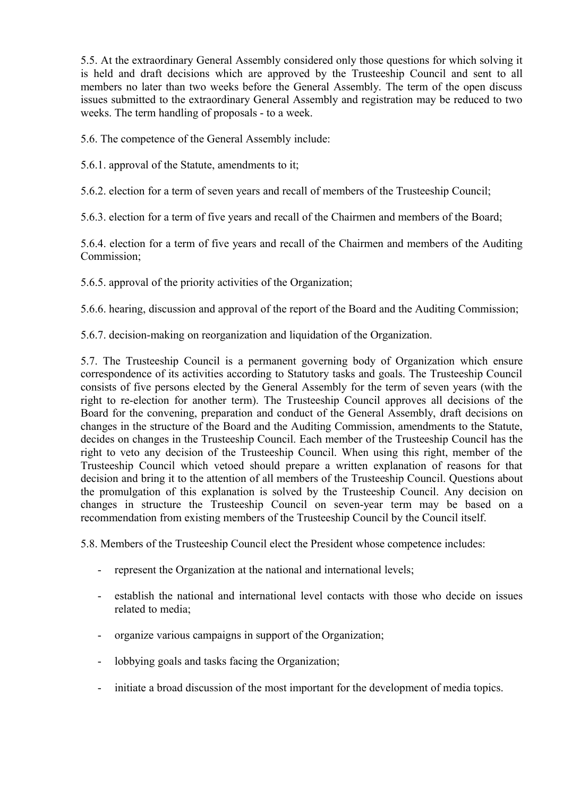5.5. At the extraordinary General Assembly considered only those questions for which solving it is held and draft decisions which are approved by the Trusteeship Council and sent to all members no later than two weeks before the General Assembly. The term of the open discuss issues submitted to the extraordinary General Assembly and registration may be reduced to two weeks. The term handling of proposals - to a week.

5.6. The competence of the General Assembly include:

5.6.1. approval of the Statute, amendments to it;

5.6.2. election for a term of seven years and recall of members of the Trusteeship Council;

5.6.3. election for a term of five years and recall of the Chairmen and members of the Board;

5.6.4. election for a term of five years and recall of the Chairmen and members of the Auditing Commission;

5.6.5. approval of the priority activities of the Organization;

5.6.6. hearing, discussion and approval of the report of the Board and the Auditing Commission;

5.6.7. decision-making on reorganization and liquidation of the Organization.

5.7. The Trusteeship Council is a permanent governing body of Organization which ensure correspondence of its activities according to Statutory tasks and goals. The Trusteeship Council consists of five persons elected by the General Assembly for the term of seven years (with the right to re-election for another term). The Trusteeship Council approves all decisions of the Board for the convening, preparation and conduct of the General Assembly, draft decisions on changes in the structure of the Board and the Auditing Commission, amendments to the Statute, decides on changes in the Trusteeship Council. Each member of the Trusteeship Council has the right to veto any decision of the Trusteeship Council. When using this right, member of the Trusteeship Council which vetoed should prepare a written explanation of reasons for that decision and bring it to the attention of all members of the Trusteeship Council. Questions about the promulgation of this explanation is solved by the Trusteeship Council. Any decision on changes in structure the Trusteeship Council on seven-year term may be based on a recommendation from existing members of the Trusteeship Council by the Council itself.

5.8. Members of the Trusteeship Council elect the President whose competence includes:

- represent the Organization at the national and international levels;
- establish the national and international level contacts with those who decide on issues related to media;
- organize various campaigns in support of the Organization;
- lobbying goals and tasks facing the Organization;
- initiate a broad discussion of the most important for the development of media topics.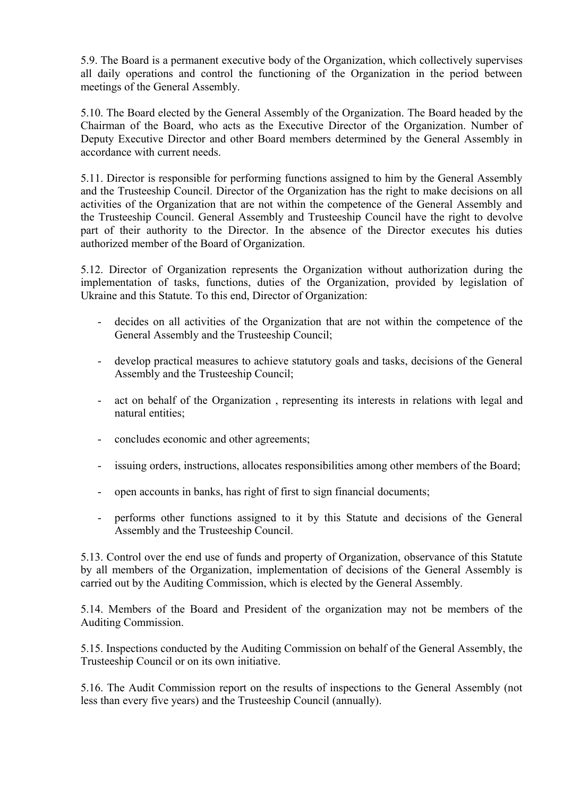5.9. The Board is a permanent executive body of the Organization, which collectively supervises all daily operations and control the functioning of the Organization in the period between meetings of the General Assembly.

5.10. The Board elected by the General Assembly of the Organization. The Board headed by the Chairman of the Board, who acts as the Executive Director of the Organization. Number of Deputy Executive Director and other Board members determined by the General Assembly in accordance with current needs.

5.11. Director is responsible for performing functions assigned to him by the General Assembly and the Trusteeship Council. Director of the Organization has the right to make decisions on all activities of the Organization that are not within the competence of the General Assembly and the Trusteeship Council. General Assembly and Trusteeship Council have the right to devolve part of their authority to the Director. In the absence of the Director executes his duties authorized member of the Board of Organization.

5.12. Director of Organization represents the Organization without authorization during the implementation of tasks, functions, duties of the Organization, provided by legislation of Ukraine and this Statute. To this end, Director of Organization:

- decides on all activities of the Organization that are not within the competence of the General Assembly and the Trusteeship Council;
- develop practical measures to achieve statutory goals and tasks, decisions of the General Assembly and the Trusteeship Council;
- act on behalf of the Organization , representing its interests in relations with legal and natural entities;
- concludes economic and other agreements;
- issuing orders, instructions, allocates responsibilities among other members of the Board;
- open accounts in banks, has right of first to sign financial documents;
- performs other functions assigned to it by this Statute and decisions of the General Assembly and the Trusteeship Council.

5.13. Control over the end use of funds and property of Organization, observance of this Statute by all members of the Organization, implementation of decisions of the General Assembly is carried out by the Auditing Commission, which is elected by the General Assembly.

5.14. Members of the Board and President of the organization may not be members of the Auditing Commission.

5.15. Inspections conducted by the Auditing Commission on behalf of the General Assembly, the Trusteeship Council or on its own initiative.

5.16. The Audit Commission report on the results of inspections to the General Assembly (not less than every five years) and the Trusteeship Council (annually).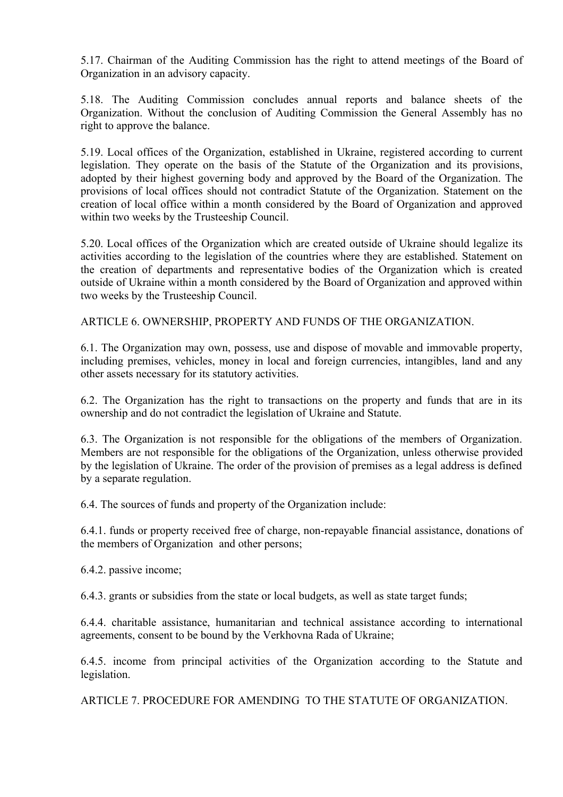5.17. Chairman of the Auditing Commission has the right to attend meetings of the Board of Organization in an advisory capacity.

5.18. The Auditing Commission concludes annual reports and balance sheets of the Organization. Without the conclusion of Auditing Commission the General Assembly has no right to approve the balance.

5.19. Local offices of the Organization, established in Ukraine, registered according to current legislation. They operate on the basis of the Statute of the Organization and its provisions, adopted by their highest governing body and approved by the Board of the Organization. The provisions of local offices should not contradict Statute of the Organization. Statement on the creation of local office within a month considered by the Board of Organization and approved within two weeks by the Trusteeship Council.

5.20. Local offices of the Organization which are created outside of Ukraine should legalize its activities according to the legislation of the countries where they are established. Statement on the creation of departments and representative bodies of the Organization which is created outside of Ukraine within a month considered by the Board of Organization and approved within two weeks by the Trusteeship Council.

ARTICLE 6. OWNERSHIP, PROPERTY AND FUNDS OF THE ORGANIZATION.

6.1. The Organization may own, possess, use and dispose of movable and immovable property, including premises, vehicles, money in local and foreign currencies, intangibles, land and any other assets necessary for its statutory activities.

6.2. The Organization has the right to transactions on the property and funds that are in its ownership and do not contradict the legislation of Ukraine and Statute.

6.3. The Organization is not responsible for the obligations of the members of Organization. Members are not responsible for the obligations of the Organization, unless otherwise provided by the legislation of Ukraine. The order of the provision of premises as a legal address is defined by a separate regulation.

6.4. The sources of funds and property of the Organization include:

6.4.1. funds or property received free of charge, non-repayable financial assistance, donations of the members of Organization and other persons;

6.4.2. passive income;

6.4.3. grants or subsidies from the state or local budgets, as well as state target funds;

6.4.4. charitable assistance, humanitarian and technical assistance according to international agreements, consent to be bound by the Verkhovna Rada of Ukraine;

6.4.5. income from principal activities of the Organization according to the Statute and legislation.

ARTICLE 7. PROCEDURE FOR AMENDING TO THE STATUTE OF ORGANIZATION.